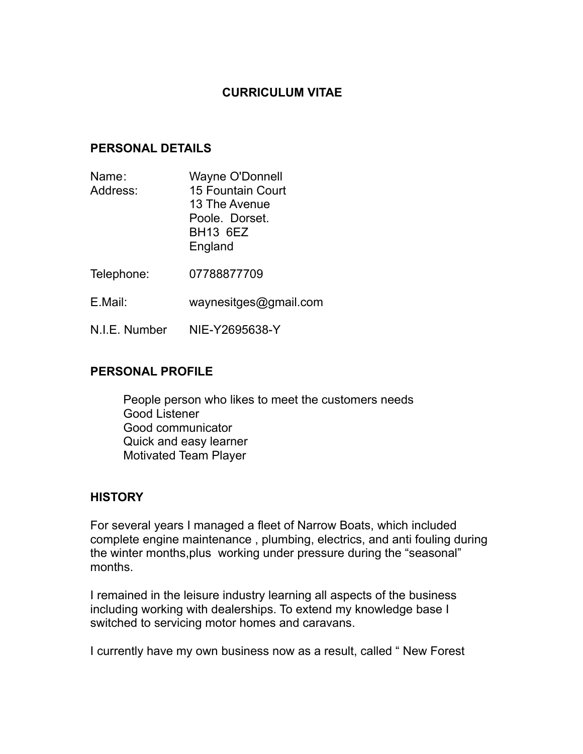# **CURRICULUM VITAE**

### **PERSONAL DETAILS**

- Name: Wayne O'Donnell Address: 15 Fountain Court 13 The Avenue Poole. Dorset. BH13 6EZ England
- Telephone: 07788877709
- E.Mail: [waynesitges@gmail.com](mailto:waynesitges@gmail.com)
- N.I.E. Number NIE-Y2695638-Y

## **PERSONAL PROFILE**

People person who likes to meet the customers needs Good Listener Good communicator Quick and easy learner Motivated Team Player

### **HISTORY**

For several years I managed a fleet of Narrow Boats, which included complete engine maintenance , plumbing, electrics, and anti fouling during the winter months,plus working under pressure during the "seasonal" months.

I remained in the leisure industry learning all aspects of the business including working with dealerships. To extend my knowledge base I switched to servicing motor homes and caravans.

I currently have my own business now as a result, called " New Forest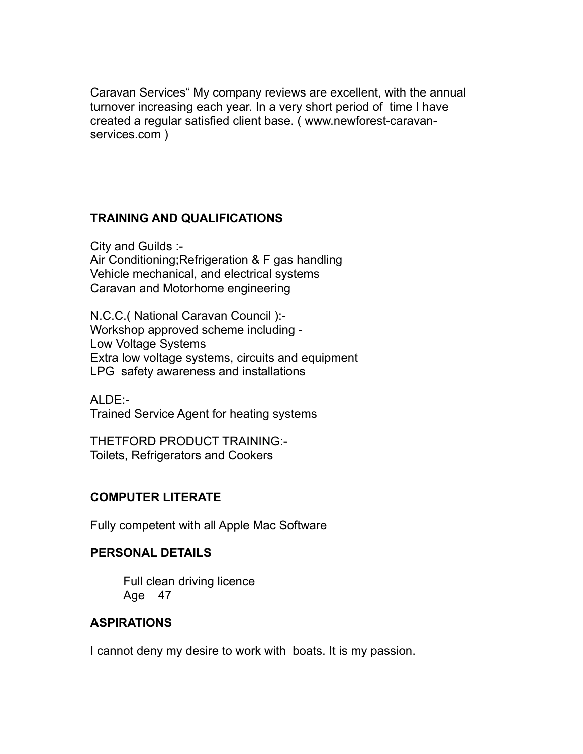Caravan Services" My company reviews are excellent, with the annual turnover increasing each year. In a very short period of time I have created a regular satisfied client base. ( [www.newforest-caravan](http://www.newforest-caravan-services.com/)[services.com](http://www.newforest-caravan-services.com/) )

# **TRAINING AND QUALIFICATIONS**

City and Guilds :- Air Conditioning;Refrigeration & F gas handling Vehicle mechanical, and electrical systems Caravan and Motorhome engineering

N.C.C.( National Caravan Council ):- Workshop approved scheme including - Low Voltage Systems Extra low voltage systems, circuits and equipment LPG safety awareness and installations

ALDE:- Trained Service Agent for heating systems

THETFORD PRODUCT TRAINING:- Toilets, Refrigerators and Cookers

# **COMPUTER LITERATE**

Fully competent with all Apple Mac Software

### **PERSONAL DETAILS**

Full clean driving licence Age 47

# **ASPIRATIONS**

I cannot deny my desire to work with boats. It is my passion.